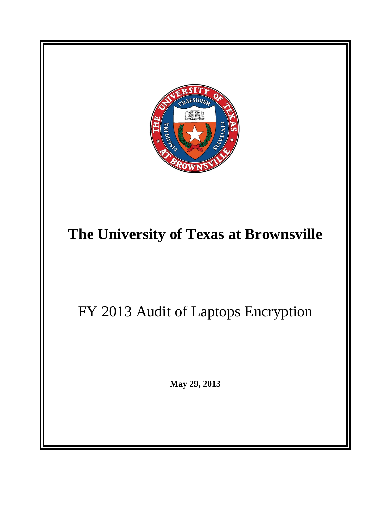

# **The University of Texas at Brownsville**

FY 2013 Audit of Laptops Encryption

**May 29, 2013**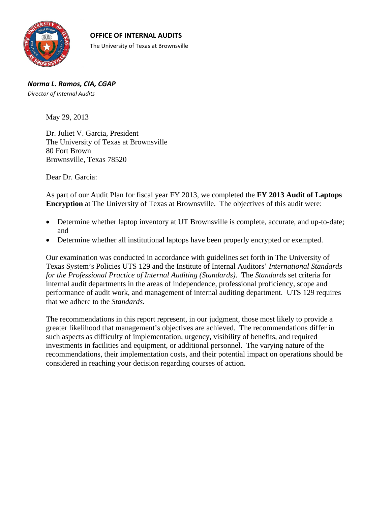

*Norma L. Ramos, CIA, CGAP Director of Internal Audits*

May 29, 2013

Dr. Juliet V. Garcia, President The University of Texas at Brownsville 80 Fort Brown Brownsville, Texas 78520

Dear Dr. Garcia:

As part of our Audit Plan for fiscal year FY 2013, we completed the **FY 2013 Audit of Laptops Encryption** at The University of Texas at Brownsville. The objectives of this audit were:

- Determine whether laptop inventory at UT Brownsville is complete, accurate, and up-to-date; and
- Determine whether all institutional laptops have been properly encrypted or exempted.

Our examination was conducted in accordance with guidelines set forth in The University of Texas System's Policies UTS 129 and the Institute of Internal Auditors' *International Standards for the Professional Practice of Internal Auditing (Standards)*. The *Standards* set criteria for internal audit departments in the areas of independence, professional proficiency, scope and performance of audit work, and management of internal auditing department. UTS 129 requires that we adhere to the *Standards.* 

The recommendations in this report represent, in our judgment, those most likely to provide a greater likelihood that management's objectives are achieved. The recommendations differ in such aspects as difficulty of implementation, urgency, visibility of benefits, and required investments in facilities and equipment, or additional personnel. The varying nature of the recommendations, their implementation costs, and their potential impact on operations should be considered in reaching your decision regarding courses of action.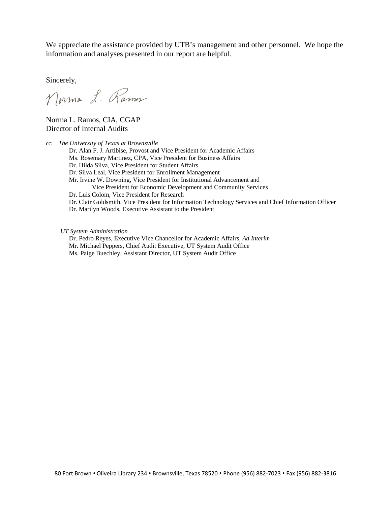We appreciate the assistance provided by UTB's management and other personnel. We hope the information and analyses presented in our report are helpful.

Sincerely,

Norma L. Ramos

Norma L. Ramos, CIA, CGAP Director of Internal Audits

cc: *The University of Texas at Brownsville* 

Dr. Alan F. J. Artibise, Provost and Vice President for Academic Affairs

Ms. Rosemary Martinez, CPA, Vice President for Business Affairs

Dr. Hilda Silva, Vice President for Student Affairs

Dr. Silva Leal, Vice President for Enrollment Management

Mr. Irvine W. Downing, Vice President for Institutional Advancement and

Vice President for Economic Development and Community Services

Dr. Luis Colom, Vice President for Research

Dr. Clair Goldsmith, Vice President for Information Technology Services and Chief Information Officer

Dr. Marilyn Woods, Executive Assistant to the President

*UT System Administration*

Dr. Pedro Reyes, Executive Vice Chancellor for Academic Affairs, *Ad Interim*  Mr. Michael Peppers, Chief Audit Executive, UT System Audit Office Ms. Paige Buechley, Assistant Director, UT System Audit Office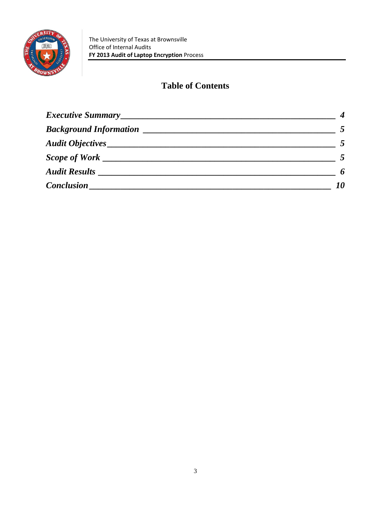

## **Table of Contents**

| Audit Results ______________                                                                               | 6  |
|------------------------------------------------------------------------------------------------------------|----|
| Conclusion __<br>the control of the control of the control of the control of the control of the control of | 10 |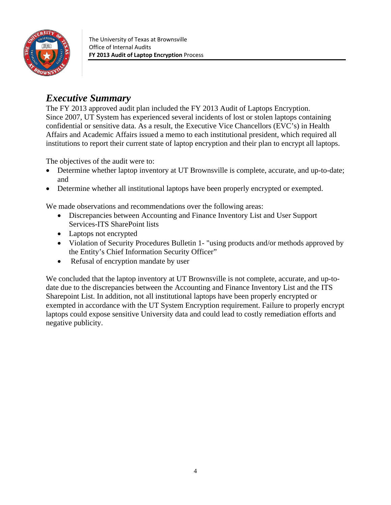

# *Executive Summary*

The FY 2013 approved audit plan included the FY 2013 Audit of Laptops Encryption. Since 2007, UT System has experienced several incidents of lost or stolen laptops containing confidential or sensitive data. As a result, the Executive Vice Chancellors (EVC's) in Health Affairs and Academic Affairs issued a memo to each institutional president, which required all institutions to report their current state of laptop encryption and their plan to encrypt all laptops.

The objectives of the audit were to:

- Determine whether laptop inventory at UT Brownsville is complete, accurate, and up-to-date; and
- Determine whether all institutional laptops have been properly encrypted or exempted.

We made observations and recommendations over the following areas:

- Discrepancies between Accounting and Finance Inventory List and User Support Services-ITS SharePoint lists
- Laptops not encrypted
- Violation of Security Procedures Bulletin 1- "using products and/or methods approved by the Entity's Chief Information Security Officer"
- Refusal of encryption mandate by user

We concluded that the laptop inventory at UT Brownsville is not complete, accurate, and up-todate due to the discrepancies between the Accounting and Finance Inventory List and the ITS Sharepoint List. In addition, not all institutional laptops have been properly encrypted or exempted in accordance with the UT System Encryption requirement. Failure to properly encrypt laptops could expose sensitive University data and could lead to costly remediation efforts and negative publicity.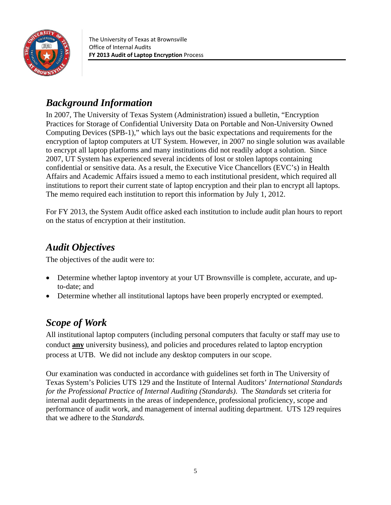

The University of Texas at Brownsville Office of Internal Audits **FY 2013 Audit of Laptop Encryption** Process

# *Background Information*

In 2007, The University of Texas System (Administration) issued a bulletin, "Encryption Practices for Storage of Confidential University Data on Portable and Non-University Owned Computing Devices (SPB-1)," which lays out the basic expectations and requirements for the encryption of laptop computers at UT System. However, in 2007 no single solution was available to encrypt all laptop platforms and many institutions did not readily adopt a solution. Since 2007, UT System has experienced several incidents of lost or stolen laptops containing confidential or sensitive data. As a result, the Executive Vice Chancellors (EVC's) in Health Affairs and Academic Affairs issued a memo to each institutional president, which required all institutions to report their current state of laptop encryption and their plan to encrypt all laptops. The memo required each institution to report this information by July 1, 2012.

For FY 2013, the System Audit office asked each institution to include audit plan hours to report on the status of encryption at their institution.

## *Audit Objectives*

The objectives of the audit were to:

- Determine whether laptop inventory at your UT Brownsville is complete, accurate, and upto-date; and
- Determine whether all institutional laptops have been properly encrypted or exempted.

# *Scope of Work*

All institutional laptop computers (including personal computers that faculty or staff may use to conduct **any** university business), and policies and procedures related to laptop encryption process at UTB. We did not include any desktop computers in our scope.

Our examination was conducted in accordance with guidelines set forth in The University of Texas System's Policies UTS 129 and the Institute of Internal Auditors' *International Standards for the Professional Practice of Internal Auditing (Standards)*. The *Standards* set criteria for internal audit departments in the areas of independence, professional proficiency, scope and performance of audit work, and management of internal auditing department. UTS 129 requires that we adhere to the *Standards.*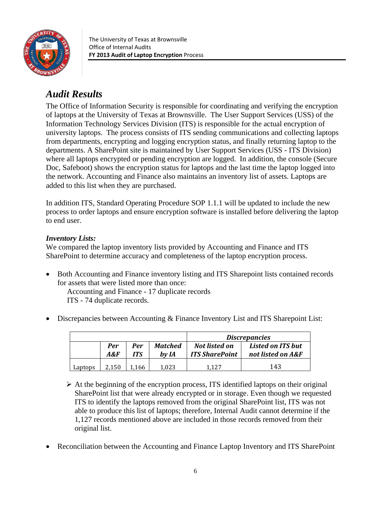

# *Audit Results*

The Office of Information Security is responsible for coordinating and verifying the encryption of laptops at the University of Texas at Brownsville. The User Support Services (USS) of the Information Technology Services Division (ITS) is responsible for the actual encryption of university laptops. The process consists of ITS sending communications and collecting laptops from departments, encrypting and logging encryption status, and finally returning laptop to the departments. A SharePoint site is maintained by User Support Services (USS - ITS Division) where all laptops encrypted or pending encryption are logged. In addition, the console (Secure Doc, Safeboot) shows the encryption status for laptops and the last time the laptop logged into the network. Accounting and Finance also maintains an inventory list of assets. Laptops are added to this list when they are purchased.

In addition ITS, Standard Operating Procedure SOP 1.1.1 will be updated to include the new process to order laptops and ensure encryption software is installed before delivering the laptop to end user.

#### *Inventory Lists:*

We compared the laptop inventory lists provided by Accounting and Finance and ITS SharePoint to determine accuracy and completeness of the laptop encryption process.

 Both Accounting and Finance inventory listing and ITS Sharepoint lists contained records for assets that were listed more than once:

 Accounting and Finance - 17 duplicate records ITS - 74 duplicate records.

Discrepancies between Accounting & Finance Inventory List and ITS Sharepoint List:

|         |                   |            |                         |                                        | <i>Discrepancies</i>                   |
|---------|-------------------|------------|-------------------------|----------------------------------------|----------------------------------------|
|         | <b>Per</b><br>A&F | Per<br>ITS | <b>Matched</b><br>by IA | Not listed on<br><b>ITS SharePoint</b> | Listed on ITS but<br>not listed on A&F |
| Laptops | 2.150             | 1.166      | 1.023                   | 1.127                                  | 143                                    |

 $\triangleright$  At the beginning of the encryption process, ITS identified laptops on their original SharePoint list that were already encrypted or in storage. Even though we requested ITS to identify the laptops removed from the original SharePoint list, ITS was not able to produce this list of laptops; therefore, Internal Audit cannot determine if the 1,127 records mentioned above are included in those records removed from their original list.

Reconciliation between the Accounting and Finance Laptop Inventory and ITS SharePoint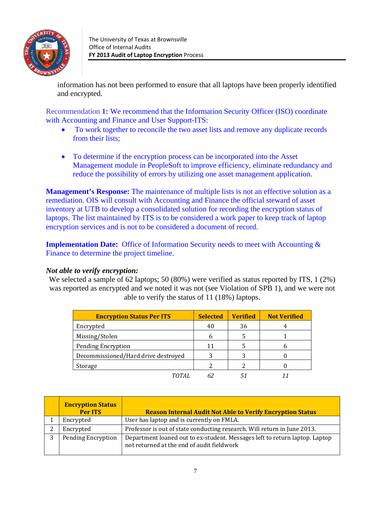

information has not been performed to ensure that all laptops have been properly identified and encrypted.

Recommendation **1:** We recommend that the Information Security Officer (ISO) coordinate with Accounting and Finance and User Support-ITS:

- To work together to reconcile the two asset lists and remove any duplicate records from their lists;
- To determine if the encryption process can be incorporated into the Asset Management module in PeopleSoft to improve efficiency, eliminate redundancy and reduce the possibility of errors by utilizing one asset management application.

**Management's Response:** The maintenance of multiple lists is not an effective solution as a remediation. OIS will consult with Accounting and Finance the official steward of asset inventory at UTB to develop a consolidated solution for recording the encryption status of laptops. The list maintained by ITS is to be considered a work paper to keep track of laptop encryption services and is not to be considered a document of record.

**Implementation Date:** Office of Information Security needs to meet with Accounting  $\&$ Finance to determine the project timeline.

#### *Not able to verify encryption:*

We selected a sample of 62 laptops; 50 (80%) were verified as status reported by ITS, 1 (2%) was reported as encrypted and we noted it was not (see Violation of SPB 1), and we were not able to verify the status of 11 (18%) laptops.

| <b>Encryption Status Per ITS</b>    | <b>Selected</b> | <b>Verified</b> | <b>Not Verified</b> |
|-------------------------------------|-----------------|-----------------|---------------------|
| Encrypted                           | 40              | 36              |                     |
| Missing/Stolen                      |                 |                 |                     |
| <b>Pending Encryption</b>           | 11              |                 |                     |
| Decommissioned/Hard drive destroyed |                 |                 |                     |
| Storage                             |                 |                 |                     |
|                                     |                 |                 |                     |

|              | <b>Encryption Status</b><br>Per ITS | <b>Reason Internal Audit Not Able to Verify Encryption Status</b>                                                         |
|--------------|-------------------------------------|---------------------------------------------------------------------------------------------------------------------------|
|              | Encrypted                           | User has laptop and is currently on FMLA.                                                                                 |
|              | Encrypted                           | Professor is out of state conducting research. Will return in June 2013.                                                  |
| $\mathbf{P}$ | <b>Pending Encryption</b>           | Department loaned out to ex-student. Messages left to return laptop. Laptop<br>not returned at the end of audit fieldwork |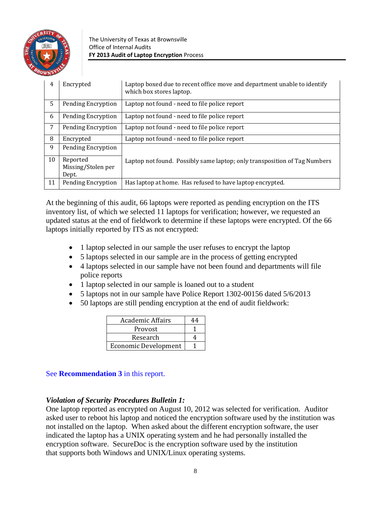

The University of Texas at Brownsville Office of Internal Audits **FY 2013 Audit of Laptop Encryption** Process

| 4  | Encrypted                 | Laptop boxed due to recent office move and department unable to identify<br>which box stores laptop. |
|----|---------------------------|------------------------------------------------------------------------------------------------------|
| 5  | Pending Encryption        | Laptop not found - need to file police report                                                        |
| 6  | <b>Pending Encryption</b> | Laptop not found - need to file police report                                                        |
| 7  | Pending Encryption        | Laptop not found - need to file police report                                                        |
| 8  | Encrypted                 | Laptop not found - need to file police report                                                        |
| 9  | Pending Encryption        |                                                                                                      |
| 10 | Reported                  | Laptop not found. Possibly same laptop; only transposition of Tag Numbers                            |
|    | Missing/Stolen per        |                                                                                                      |
|    | Dept.                     |                                                                                                      |
| 11 | Pending Encryption        | Has laptop at home. Has refused to have laptop encrypted.                                            |

At the beginning of this audit, 66 laptops were reported as pending encryption on the ITS inventory list, of which we selected 11 laptops for verification; however, we requested an updated status at the end of fieldwork to determine if these laptops were encrypted. Of the 66 laptops initially reported by ITS as not encrypted:

- 1 laptop selected in our sample the user refuses to encrypt the laptop
- 5 laptops selected in our sample are in the process of getting encrypted
- 4 laptops selected in our sample have not been found and departments will file police reports
- 1 laptop selected in our sample is loaned out to a student
- 5 laptops not in our sample have Police Report 1302-00156 dated 5/6/2013
- 50 laptops are still pending encryption at the end of audit fieldwork:

| <b>Academic Affairs</b>     |  |
|-----------------------------|--|
| Provost                     |  |
| Research                    |  |
| <b>Economic Development</b> |  |

#### See **Recommendation 3** in this report.

#### *Violation of Security Procedures Bulletin 1:*

One laptop reported as encrypted on August 10, 2012 was selected for verification. Auditor asked user to reboot his laptop and noticed the encryption software used by the institution was not installed on the laptop. When asked about the different encryption software, the user indicated the laptop has a UNIX operating system and he had personally installed the encryption software. SecureDoc is the encryption software used by the institution that supports both Windows and UNIX/Linux operating systems.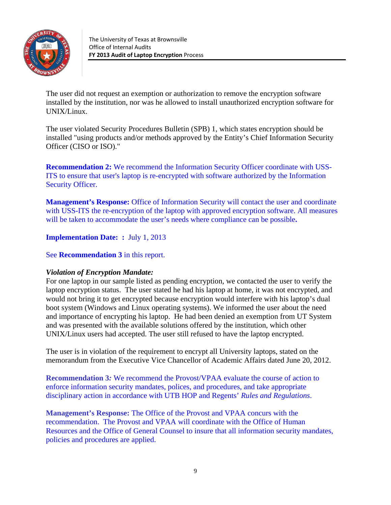

The user did not request an exemption or authorization to remove the encryption software installed by the institution, nor was he allowed to install unauthorized encryption software for UNIX/Linux.

The user violated Security Procedures Bulletin (SPB) 1, which states encryption should be installed "using products and/or methods approved by the Entity's Chief Information Security Officer (CISO or ISO)."

**Recommendation 2:** We recommend the Information Security Officer coordinate with USS-ITS to ensure that user's laptop is re-encrypted with software authorized by the Information Security Officer.

**Management's Response:** Office of Information Security will contact the user and coordinate with USS-ITS the re-encryption of the laptop with approved encryption software. All measures will be taken to accommodate the user's needs where compliance can be possible**.** 

**Implementation Date: :** July 1, 2013

See **Recommendation 3** in this report.

#### *Violation of Encryption Mandate:*

For one laptop in our sample listed as pending encryption, we contacted the user to verify the laptop encryption status. The user stated he had his laptop at home, it was not encrypted, and would not bring it to get encrypted because encryption would interfere with his laptop's dual boot system (Windows and Linux operating systems). We informed the user about the need and importance of encrypting his laptop. He had been denied an exemption from UT System and was presented with the available solutions offered by the institution, which other UNIX/Linux users had accepted. The user still refused to have the laptop encrypted.

The user is in violation of the requirement to encrypt all University laptops, stated on the memorandum from the Executive Vice Chancellor of Academic Affairs dated June 20, 2012.

**Recommendation 3***:* We recommend the Provost/VPAA evaluate the course of action to enforce information security mandates, polices, and procedures, and take appropriate disciplinary action in accordance with UTB HOP and Regents' *Rules and Regulations*.

**Management's Response:** The Office of the Provost and VPAA concurs with the recommendation. The Provost and VPAA will coordinate with the Office of Human Resources and the Office of General Counsel to insure that all information security mandates, policies and procedures are applied.